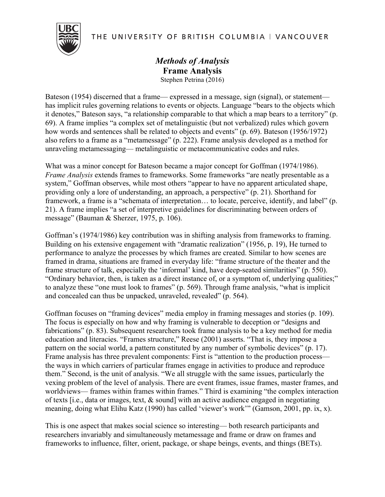THE UNIVERSITY OF BRITISH COLUMBIA | VANCOUVER



## *Methods of Analysis* **Frame Analysis** Stephen Petrina (2016)

Bateson (1954) discerned that a frame— expressed in a message, sign (signal), or statement has implicit rules governing relations to events or objects. Language "bears to the objects which it denotes," Bateson says, "a relationship comparable to that which a map bears to a territory" (p. 69). A frame implies "a complex set of metalinguistic (but not verbalized) rules which govern how words and sentences shall be related to objects and events" (p. 69). Bateson (1956/1972) also refers to a frame as a "metamessage" (p. 222). Frame analysis developed as a method for unraveling metamessaging— metalinguistic or metacommunicative codes and rules.

What was a minor concept for Bateson became a major concept for Goffman (1974/1986). *Frame Analysis* extends frames to frameworks. Some frameworks "are neatly presentable as a system," Goffman observes, while most others "appear to have no apparent articulated shape, providing only a lore of understanding, an approach, a perspective" (p. 21). Shorthand for framework, a frame is a "schemata of interpretation… to locate, perceive, identify, and label" (p. 21). A frame implies "a set of interpretive guidelines for discriminating between orders of message" (Bauman & Sherzer, 1975, p. 106).

Goffman's (1974/1986) key contribution was in shifting analysis from frameworks to framing. Building on his extensive engagement with "dramatic realization" (1956, p. 19), He turned to performance to analyze the processes by which frames are created. Similar to how scenes are framed in drama, situations are framed in everyday life: "frame structure of the theater and the frame structure of talk, especially the 'informal' kind, have deep-seated similarities" (p. 550). "Ordinary behavior, then, is taken as a direct instance of, or a symptom of, underlying qualities;" to analyze these "one must look to frames" (p. 569). Through frame analysis, "what is implicit and concealed can thus be unpacked, unraveled, revealed" (p. 564).

Goffman focuses on "framing devices" media employ in framing messages and stories (p. 109). The focus is especially on how and why framing is vulnerable to deception or "designs and fabrications" (p. 83). Subsequent researchers took frame analysis to be a key method for media education and literacies. "Frames structure," Reese (2001) asserts. "That is, they impose a pattern on the social world, a pattern constituted by any number of symbolic devices" (p. 17). Frame analysis has three prevalent components: First is "attention to the production process the ways in which carriers of particular frames engage in activities to produce and reproduce them." Second, is the unit of analysis. "We all struggle with the same issues, particularly the vexing problem of the level of analysis. There are event frames, issue frames, master frames, and worldviews— frames within frames within frames." Third is examining "the complex interaction of texts [i.e., data or images, text, & sound] with an active audience engaged in negotiating meaning, doing what Elihu Katz (1990) has called 'viewer's work'" (Gamson, 2001, pp. ix, x).

This is one aspect that makes social science so interesting— both research participants and researchers invariably and simultaneously metamessage and frame or draw on frames and frameworks to influence, filter, orient, package, or shape beings, events, and things (BETs).